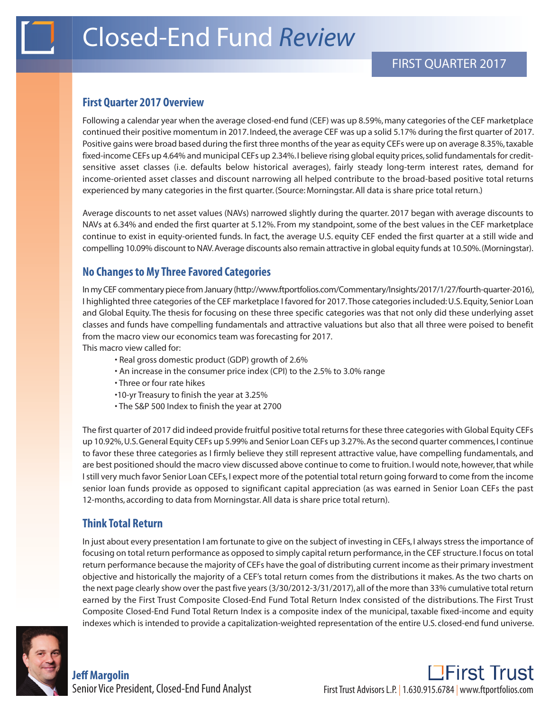## **First Quarter 2017 Overview**

Following a calendar year when the average closed-end fund (CEF) was up 8.59%, many categories of the CEF marketplace continued their positive momentum in 2017. Indeed, the average CEF was up a solid 5.17% during the first quarter of 2017. Positive gains were broad based during the first three months of the year as equity CEFs were up on average 8.35%, taxable fixed-income CEFs up 4.64% and municipal CEFs up 2.34%. I believe rising global equity prices, solid fundamentals for creditsensitive asset classes (i.e. defaults below historical averages), fairly steady long-term interest rates, demand for income-oriented asset classes and discount narrowing all helped contribute to the broad-based positive total returns experienced by many categories in the first quarter. (Source: Morningstar. All data is share price total return.)

Average discounts to net asset values (NAVs) narrowed slightly during the quarter. 2017 began with average discounts to NAVs at 6.34% and ended the first quarter at 5.12%. From my standpoint, some of the best values in the CEF marketplace continue to exist in equity-oriented funds. In fact, the average U.S. equity CEF ended the first quarter at a still wide and compelling 10.09% discount to NAV. Average discounts also remain attractive in global equity funds at 10.50%. (Morningstar).

## **No Changes to My Three Favored Categories**

In my CEF commentary piece from January (http://www.ftportfolios.com/Commentary/Insights/2017/1/27/fourth-quarter-2016), I highlighted three categories of the CEF marketplace I favored for 2017. Those categories included: U.S. Equity, Senior Loan and Global Equity. The thesis for focusing on these three specific categories was that not only did these underlying asset classes and funds have compelling fundamentals and attractive valuations but also that all three were poised to benefit from the macro view our economics team was forecasting for 2017.

This macro view called for:

- Real gross domestic product (GDP) growth of 2.6%
- An increase in the consumer price index (CPI) to the 2.5% to 3.0% range
- Three or four rate hikes
- •10-yr Treasury to finish the year at 3.25%
- The S&P 500 Index to finish the year at 2700

The first quarter of 2017 did indeed provide fruitful positive total returns for these three categories with Global Equity CEFs up 10.92%, U.S. General Equity CEFs up 5.99% and Senior Loan CEFs up 3.27%. As the second quarter commences, I continue to favor these three categories as I firmly believe they still represent attractive value, have compelling fundamentals, and are best positioned should the macro view discussed above continue to come to fruition. I would note, however, that while I still very much favor Senior Loan CEFs, I expect more of the potential total return going forward to come from the income senior loan funds provide as opposed to significant capital appreciation (as was earned in Senior Loan CEFs the past 12-months, according to data from Morningstar. All data is share price total return).

## **Think Total Return**

In just about every presentation I am fortunate to give on the subject of investing in CEFs, I always stress the importance of focusing on total return performance as opposed to simply capital return performance, in the CEF structure. I focus on total return performance because the majority of CEFs have the goal of distributing current income as their primary investment objective and historically the majority of a CEF's total return comes from the distributions it makes. As the two charts on the next page clearly show over the past five years (3/30/2012-3/31/2017), all of the more than 33% cumulative total return earned by the First Trust Composite Closed-End Fund Total Return Index consisted of the distributions. The First Trust Composite Closed-End Fund Total Return Index is a composite index of the municipal, taxable fixed-income and equity indexes which is intended to provide a capitalization-weighted representation of the entire U.S. closed-end fund universe.